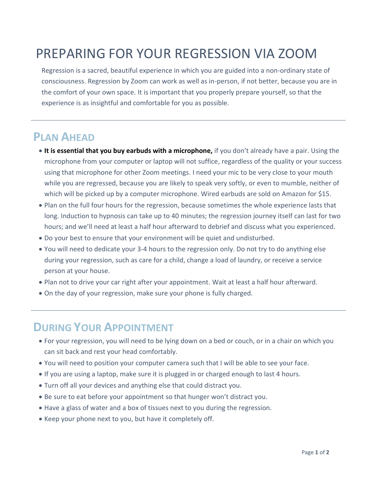## PREPARING FOR YOUR REGRESSION VIA ZOOM

Regression is a sacred, beautiful experience in which you are guided into a non-ordinary state of consciousness. Regression by Zoom can work as well as in-person, if not better, because you are in the comfort of your own space. It is important that you properly prepare yourself, so that the experience is as insightful and comfortable for you as possible.

## **PLAN AHEAD**

- **It is essential that you buy earbuds with a microphone,** if you don't already have a pair. Using the microphone from your computer or laptop will not suffice, regardless of the quality or your success using that microphone for other Zoom meetings. I need your mic to be very close to your mouth while you are regressed, because you are likely to speak very softly, or even to mumble, neither of which will be picked up by a computer microphone. Wired earbuds are sold on Amazon for \$15.
- Plan on the full four hours for the regression, because sometimes the whole experience lasts that long. Induction to hypnosis can take up to 40 minutes; the regression journey itself can last for two hours; and we'll need at least a half hour afterward to debrief and discuss what you experienced.
- Do your best to ensure that your environment will be quiet and undisturbed.
- You will need to dedicate your 3-4 hours to the regression only. Do not try to do anything else during your regression, such as care for a child, change a load of laundry, or receive a service person at your house.
- Plan not to drive your car right after your appointment. Wait at least a half hour afterward.
- On the day of your regression, make sure your phone is fully charged.

## **DURING YOUR APPOINTMENT**

- For your regression, you will need to be lying down on a bed or couch, or in a chair on which you can sit back and rest your head comfortably.
- You will need to position your computer camera such that I will be able to see your face.
- If you are using a laptop, make sure it is plugged in or charged enough to last 4 hours.
- Turn off all your devices and anything else that could distract you.
- Be sure to eat before your appointment so that hunger won't distract you.
- Have a glass of water and a box of tissues next to you during the regression.
- Keep your phone next to you, but have it completely off.